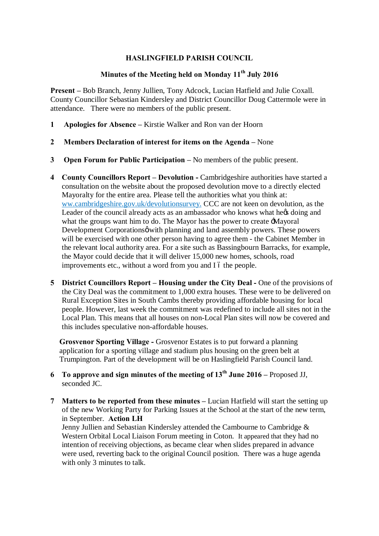## **HASLINGFIELD PARISH COUNCIL**

## **Minutes of the Meeting held on Monday 11th July 2016**

**Present –** Bob Branch, Jenny Jullien, Tony Adcock, Lucian Hatfield and Julie Coxall. County Councillor Sebastian Kindersley and District Councillor Doug Cattermole were in attendance. There were no members of the public present.

- **1 Apologies for Absence –** Kirstie Walker and Ron van der Hoorn
- **2 Members Declaration of interest for items on the Agenda –** None
- **3 Open Forum for Public Participation –** No members of the public present.
- **4 County Councillors Report – Devolution -** Cambridgeshire authorities have started a consultation on the website about the proposed devolution move to a directly elected Mayoralty for the entire area. Please tell the authorities what you think at: ww.cambridgeshire.gov.uk/devolutionsurvey. CCC are not keen on devolution, as the Leader of the council already acts as an ambassador who knows what hexis doing and what the groups want him to do. The Mayor has the power to create  $\pm$ Mayoral Development Corporationsø with planning and land assembly powers. These powers will be exercised with one other person having to agree them - the Cabinet Member in the relevant local authority area. For a site such as Bassingbourn Barracks, for example, the Mayor could decide that it will deliver 15,000 new homes, schools, road improvements etc., without a word from you and I 6 the people.
- **5 District Councillors Report – Housing under the City Deal -** One of the provisions of the City Deal was the commitment to 1,000 extra houses. These were to be delivered on Rural Exception Sites in South Cambs thereby providing affordable housing for local people. However, last week the commitment was redefined to include all sites not in the Local Plan. This means that all houses on non-Local Plan sites will now be covered and this includes speculative non-affordable houses.

**Grosvenor Sporting Village -** Grosvenor Estates is to put forward a planning application for a sporting village and stadium plus housing on the green belt at Trumpington. Part of the development will be on Haslingfield Parish Council land.

- **6 To approve and sign minutes of the meeting of 13th June 2016 –** Proposed JJ, seconded JC.
- **7 Matters to be reported from these minutes** Lucian Hatfield will start the setting up of the new Working Party for Parking Issues at the School at the start of the new term, in September. **Action LH**

Jenny Jullien and Sebastian Kindersley attended the Cambourne to Cambridge & Western Orbital Local Liaison Forum meeting in Coton. It appeared that they had no intention of receiving objections, as became clear when slides prepared in advance were used, reverting back to the original Council position. There was a huge agenda with only 3 minutes to talk.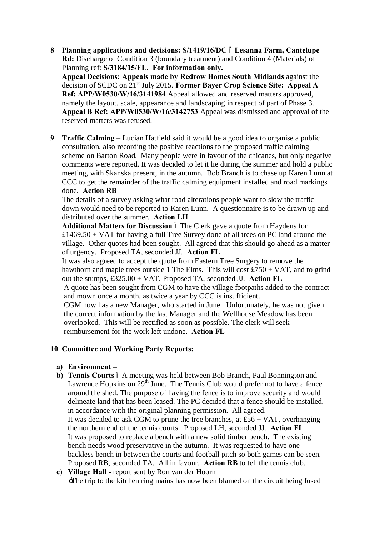- **8 Planning applications and decisions: S/1419/16/DC Lesanna Farm, Cantelupe Rd:** Discharge of Condition 3 (boundary treatment) and Condition 4 (Materials) of Planning ref: **S/3184/15/FL. For information only. Appeal Decisions: Appeals made by Redrow Homes South Midlands** against the decision of SCDC on 21st July 2015. **Former Bayer Crop Science Site: Appeal A Ref: APP/W0530/W/16/3141984** Appeal allowed and reserved matters approved, namely the layout, scale, appearance and landscaping in respect of part of Phase 3. **Appeal B Ref: APP/W0530/W/16/3142753** Appeal was dismissed and approval of the reserved matters was refused.
- **9 Traffic Calming –** Lucian Hatfield said it would be a good idea to organise a public consultation, also recording the positive reactions to the proposed traffic calming scheme on Barton Road. Many people were in favour of the chicanes, but only negative comments were reported. It was decided to let it lie during the summer and hold a public meeting, with Skanska present, in the autumn. Bob Branch is to chase up Karen Lunn at CCC to get the remainder of the traffic calming equipment installed and road markings done. **Action RB**

The details of a survey asking what road alterations people want to slow the traffic down would need to be reported to Karen Lunn. A questionnaire is to be drawn up and distributed over the summer. **Action LH**

Additional Matters for Discussion 6 The Clerk gave a quote from Haydens for  $£1469.50 + VAT$  for having a full Tree Survey done of all trees on PC land around the village. Other quotes had been sought. All agreed that this should go ahead as a matter of urgency. Proposed TA, seconded JJ. **Action FL**

It was also agreed to accept the quote from Eastern Tree Surgery to remove the hawthorn and maple trees outside 1 The Elms. This will cost  $\pounds 750 + \text{VAT}$ , and to grind out the stumps, £325.00 + VAT. Proposed TA, seconded JJ. **Action FL** A quote has been sought from CGM to have the village footpaths added to the contract and mown once a month, as twice a year by CCC is insufficient. CGM now has a new Manager, who started in June. Unfortunately, he was not given the correct information by the last Manager and the Wellhouse Meadow has been overlooked. This will be rectified as soon as possible. The clerk will seek reimbursement for the work left undone. **Action FL**

## **10 Committee and Working Party Reports:**

- **a) Environment –**
- **b) Tennis Courts** 6 A meeting was held between Bob Branch, Paul Bonnington and Lawrence Hopkins on  $29<sup>th</sup>$  June. The Tennis Club would prefer not to have a fence around the shed. The purpose of having the fence is to improve security and would delineate land that has been leased. The PC decided that a fence should be installed, in accordance with the original planning permission. All agreed. It was decided to ask CGM to prune the tree branches, at  $£56 + VAT$ , overhanging the northern end of the tennis courts. Proposed LH, seconded JJ. **Action FL** It was proposed to replace a bench with a new solid timber bench. The existing bench needs wood preservative in the autumn. It was requested to have one backless bench in between the courts and football pitch so both games can be seen. Proposed RB, seconded TA. All in favour. **Action RB** to tell the tennis club.
- **c) Village Hall -** report sent by Ron van der Hoorn 'The trip to the kitchen ring mains has now been blamed on the circuit being fused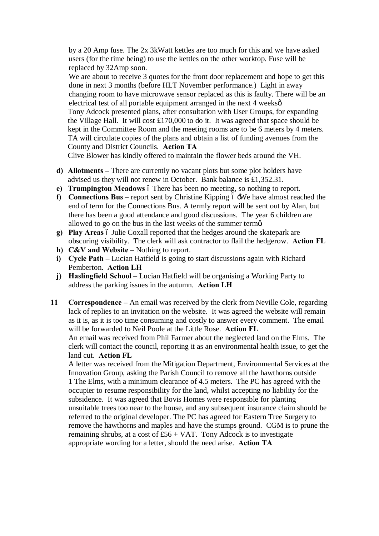by a 20 Amp fuse. The 2x 3kWatt kettles are too much for this and we have asked users (for the time being) to use the kettles on the other worktop. Fuse will be replaced by 32Amp soon.

We are about to receive 3 quotes for the front door replacement and hope to get this done in next 3 months (before HLT November performance.) Light in away changing room to have microwave sensor replaced as this is faulty. There will be an electrical test of all portable equipment arranged in the next 4 weeks  $\alpha$ . Tony Adcock presented plans, after consultation with User Groups, for expanding the Village Hall. It will cost £170,000 to do it. It was agreed that space should be kept in the Committee Room and the meeting rooms are to be 6 meters by 4 meters. TA will circulate copies of the plans and obtain a list of funding avenues from the County and District Councils. **Action TA**

Clive Blower has kindly offered to maintain the flower beds around the VH.

- **d) Allotments –** There are currently no vacant plots but some plot holders have advised us they will not renew in October. Bank balance is £1,352.31.
- **e) Trumpington Meadows** 6 There has been no meeting, so nothing to report.
- **f) Connections Bus** report sent by Christine Kipping  $\acute{o}$  -We have almost reached the end of term for the Connections Bus. A termly report will be sent out by Alan, but there has been a good attendance and good discussions. The year 6 children are allowed to go on the bus in the last weeks of the summer term $\alpha$ .
- **g) Play Areas**  $\acute{o}$  Julie Coxall reported that the hedges around the skatepark are obscuring visibility. The clerk will ask contractor to flail the hedgerow. **Action FL**
- **h) C&V** and **Website** Nothing to report.
- **i) Cycle Path** Lucian Hatfield is going to start discussions again with Richard Pemberton. **Action LH**
- **j) Haslingfield School** Lucian Hatfield will be organising a Working Party to address the parking issues in the autumn. **Action LH**
- **11 Correspondence –** An email was received by the clerk from Neville Cole, regarding lack of replies to an invitation on the website. It was agreed the website will remain as it is, as it is too time consuming and costly to answer every comment. The email will be forwarded to Neil Poole at the Little Rose. **Action FL**

An email was received from Phil Farmer about the neglected land on the Elms. The clerk will contact the council, reporting it as an environmental health issue, to get the land cut. **Action FL**

A letter was received from the Mitigation Department, Environmental Services at the Innovation Group, asking the Parish Council to remove all the hawthorns outside 1 The Elms, with a minimum clearance of 4.5 meters. The PC has agreed with the occupier to resume responsibility for the land, whilst accepting no liability for the subsidence. It was agreed that Bovis Homes were responsible for planting unsuitable trees too near to the house, and any subsequent insurance claim should be referred to the original developer. The PC has agreed for Eastern Tree Surgery to remove the hawthorns and maples and have the stumps ground. CGM is to prune the remaining shrubs, at a cost of  $£56 + VAT$ . Tony Adcock is to investigate appropriate wording for a letter, should the need arise. **Action TA**